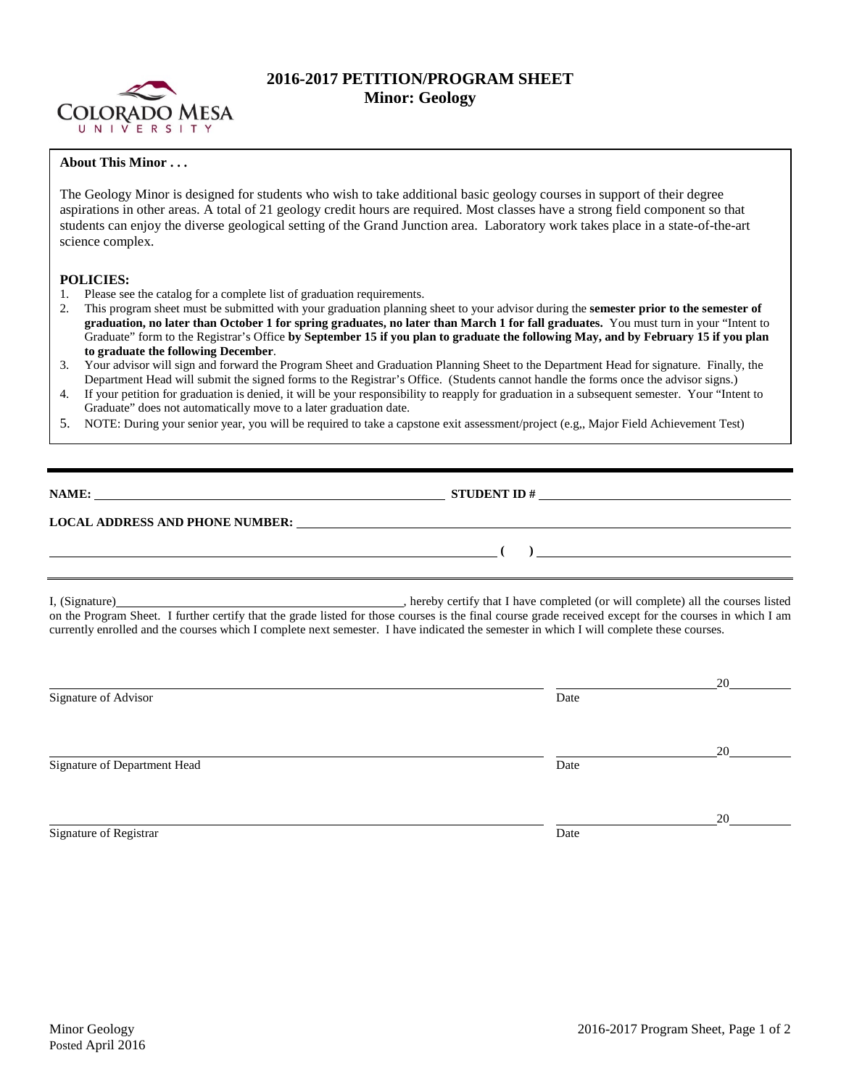

## **2016-2017 PETITION/PROGRAM SHEET Minor: Geology**

## **About This Minor . . .**

The Geology Minor is designed for students who wish to take additional basic geology courses in support of their degree aspirations in other areas. A total of 21 geology credit hours are required. Most classes have a strong field component so that students can enjoy the diverse geological setting of the Grand Junction area. Laboratory work takes place in a state-of-the-art science complex.

## **POLICIES:**

- 1. Please see the catalog for a complete list of graduation requirements.
- 2. This program sheet must be submitted with your graduation planning sheet to your advisor during the **semester prior to the semester of graduation, no later than October 1 for spring graduates, no later than March 1 for fall graduates.** You must turn in your "Intent to Graduate" form to the Registrar's Office **by September 15 if you plan to graduate the following May, and by February 15 if you plan to graduate the following December**.
- 3. Your advisor will sign and forward the Program Sheet and Graduation Planning Sheet to the Department Head for signature. Finally, the Department Head will submit the signed forms to the Registrar's Office. (Students cannot handle the forms once the advisor signs.)
- 4. If your petition for graduation is denied, it will be your responsibility to reapply for graduation in a subsequent semester. Your "Intent to Graduate" does not automatically move to a later graduation date.
- 5. NOTE: During your senior year, you will be required to take a capstone exit assessment/project (e.g,, Major Field Achievement Test)

**NAME: STUDENT ID #** 

**( )** 

## **LOCAL ADDRESS AND PHONE NUMBER:**

I, (Signature) hereby certify that I have completed (or will complete) all the courses listed on the Program Sheet. I further certify that the grade listed for those courses is the final course grade received except for the courses in which I am currently enrolled and the courses which I complete next semester. I have indicated the semester in which I will complete these courses.

|                              |      | 20 |
|------------------------------|------|----|
| Signature of Advisor         | Date |    |
|                              |      | 20 |
| Signature of Department Head | Date |    |
|                              |      | 20 |
| Signature of Registrar       | Date |    |